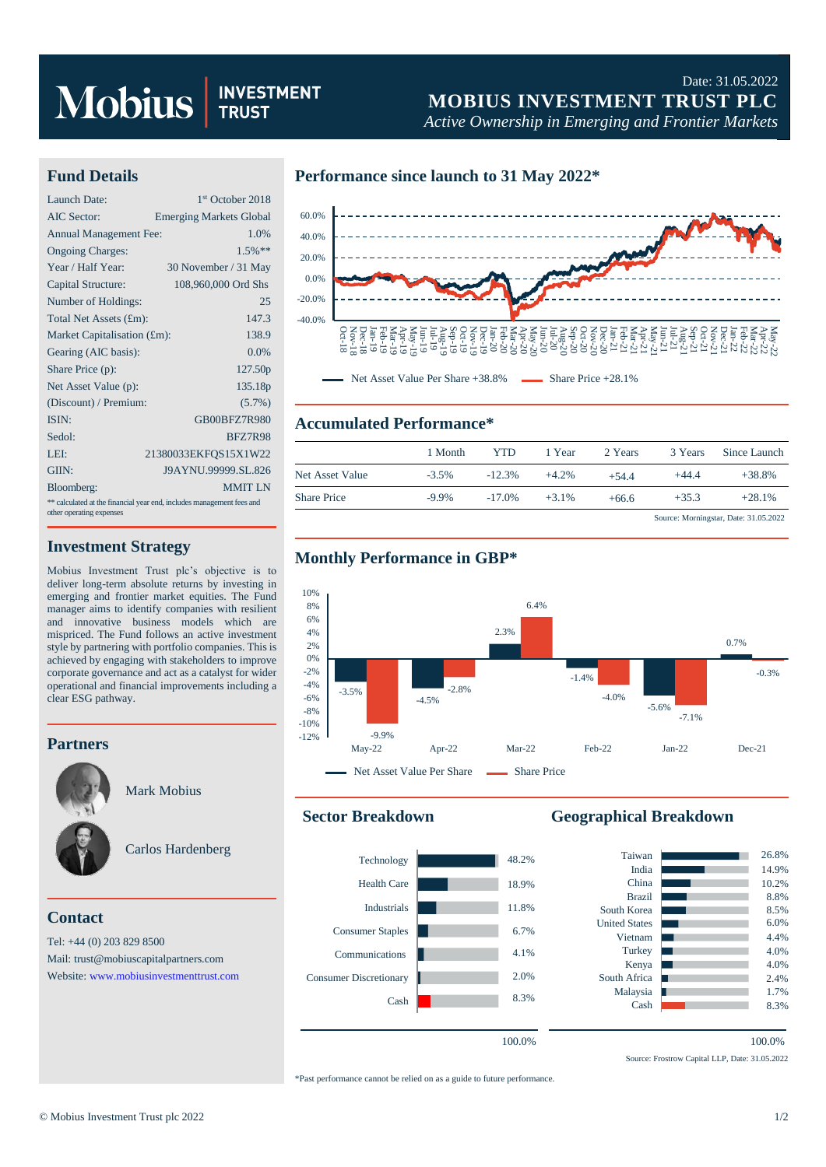# Mobius **RUS**

## Date: 31.05.2022 **MOBIUS INVESTMENT TRUST PLC**

*Active Ownership in Emerging and Frontier Markets*

#### **Fund Details**

| Launch Date:                                                                                      | 1 <sup>st</sup> October 2018   |  |  |  |
|---------------------------------------------------------------------------------------------------|--------------------------------|--|--|--|
| AIC Sector:                                                                                       | <b>Emerging Markets Global</b> |  |  |  |
| <b>Annual Management Fee:</b>                                                                     | 1.0%                           |  |  |  |
| <b>Ongoing Charges:</b>                                                                           | $1.5\%$ **                     |  |  |  |
| Year / Half Year:                                                                                 | 30 November / 31 May           |  |  |  |
| Capital Structure:                                                                                | 108,960,000 Ord Shs            |  |  |  |
| Number of Holdings:                                                                               | 25                             |  |  |  |
| Total Net Assets (£m):                                                                            | 147.3                          |  |  |  |
| Market Capitalisation (£m):                                                                       | 138.9                          |  |  |  |
| Gearing (AIC basis):                                                                              | 0.0%                           |  |  |  |
| Share Price (p):                                                                                  | 127.50p                        |  |  |  |
| Net Asset Value (p):                                                                              | 135.18p                        |  |  |  |
| (Discount) / Premium:                                                                             | $(5.7\%)$                      |  |  |  |
| ISIN:                                                                                             | GB00BFZ7R980                   |  |  |  |
| Sedol:                                                                                            | <b>BFZ7R98</b>                 |  |  |  |
| LEI:                                                                                              | 21380033EKFOS15X1W22           |  |  |  |
| GIIN:                                                                                             | J9AYNU 99999 SL 826            |  |  |  |
| Bloomberg:                                                                                        | <b>MMIT LN</b>                 |  |  |  |
| ** calculated at the financial year end, includes management fees and<br>other operating expenses |                                |  |  |  |

#### **Investment Strategy**

Mobius Investment Trust plc's objective is to deliver long-term absolute returns by investing in emerging and frontier market equities. The Fund manager aims to identify companies with resilient and innovative business models which are mispriced. The Fund follows an active investment style by partnering with portfolio companies. This is achieved by engaging with stakeholders to improve corporate governance and act as a catalyst for wider operational and financial improvements including a clear ESG pathway.

#### **Partners**



Mark Mobius



### **Contact**

Tel: +44 (0) 203 829 8500 Mail[: trust@mobiuscapitalpartners.com](mailto:trust@mobiuscapitalpartners.com) Website[: www.mobiusinvestmenttrust.com](https://www.mobiusinvestmenttrust.com/)

#### **Performance since launch to 31 May 2022\***



#### **Accumulated Performance\***

|                    | 1 Month  | YTD       | 1 Year   | 2 Years | 3 Years | Since Launch                          |
|--------------------|----------|-----------|----------|---------|---------|---------------------------------------|
| Net Asset Value    | $-3.5\%$ | $-12.3\%$ | $+4.2%$  | $+54.4$ | $+44.4$ | $+38.8\%$                             |
| <b>Share Price</b> | $-9.9\%$ | $-17.0\%$ | $+3.1\%$ | $+66.6$ | $+35.3$ | $+28.1%$                              |
|                    |          |           |          |         |         | Source: Morningstar, Date: 31.05.2022 |

### **Monthly Performance in GBP\***



#### **Sector Breakdown**



## **Geographical Breakdown**



\*Past performance cannot be relied on as a guide to future performance.

Source: Frostrow Capital LLP, Date: 31.05.2022